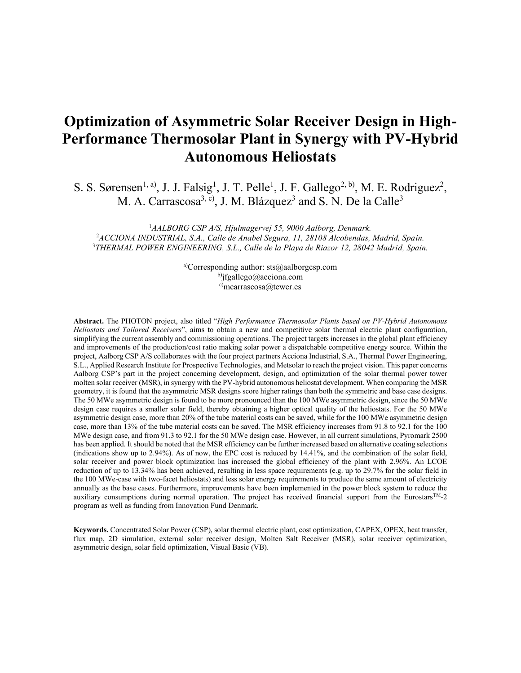# **Optimization of Asymmetric Solar Receiver Design in High-Performance Thermosolar Plant in Synergy with PV-Hybrid Autonomous Heliostats**

S. S. Sørensen<sup>1, a)</sup>, J. J. Falsig<sup>1</sup>, J. T. Pelle<sup>1</sup>, J. F. Gallego<sup>2, b)</sup>, M. E. Rodriguez<sup>2</sup>, M. A. Carrascosa<sup>3, c)</sup>, J. M. Blázquez<sup>3</sup> and S. N. De la Calle<sup>3</sup>

1 *AALBORG CSP A/S, Hjulmagervej 55, 9000 Aalborg, Denmark.* 2 *ACCIONA INDUSTRIAL, S.A., Calle de Anabel Segura, 11, 28108 Alcobendas, Madrid, Spain.* 3 *THERMAL POWER ENGINEERING, S.L., Calle de la Playa de Riazor 12, 28042 Madrid, Spain.*

> a)Corresponding author: sts@aalborgcsp.com b)jfgallego@acciona.com c)mcarrascosa@tewer.es

**Abstract.** The PHOTON project, also titled "*High Performance Thermosolar Plants based on PV-Hybrid Autonomous Heliostats and Tailored Receivers*", aims to obtain a new and competitive solar thermal electric plant configuration, simplifying the current assembly and commissioning operations. The project targets increases in the global plant efficiency and improvements of the production/cost ratio making solar power a dispatchable competitive energy source. Within the project, Aalborg CSP A/S collaborates with the four project partners Acciona Industrial, S.A., Thermal Power Engineering, S.L., Applied Research Institute for Prospective Technologies, and Metsolar to reach the project vision. This paper concerns Aalborg CSP's part in the project concerning development, design, and optimization of the solar thermal power tower molten solar receiver (MSR), in synergy with the PV-hybrid autonomous heliostat development. When comparing the MSR geometry, it is found that the asymmetric MSR designs score higher ratings than both the symmetric and base case designs. The 50 MWe asymmetric design is found to be more pronounced than the 100 MWe asymmetric design, since the 50 MWe design case requires a smaller solar field, thereby obtaining a higher optical quality of the heliostats. For the 50 MWe asymmetric design case, more than 20% of the tube material costs can be saved, while for the 100 MWe asymmetric design case, more than 13% of the tube material costs can be saved. The MSR efficiency increases from 91.8 to 92.1 for the 100 MWe design case, and from 91.3 to 92.1 for the 50 MWe design case. However, in all current simulations, Pyromark 2500 has been applied. It should be noted that the MSR efficiency can be further increased based on alternative coating selections (indications show up to 2.94%). As of now, the EPC cost is reduced by 14.41%, and the combination of the solar field, solar receiver and power block optimization has increased the global efficiency of the plant with 2.96%. An LCOE reduction of up to 13.34% has been achieved, resulting in less space requirements (e.g. up to 29.7% for the solar field in the 100 MWe-case with two-facet heliostats) and less solar energy requirements to produce the same amount of electricity annually as the base cases. Furthermore, improvements have been implemented in the power block system to reduce the auxiliary consumptions during normal operation. The project has received financial support from the Eurostars<sup>TM</sup>-2 program as well as funding from Innovation Fund Denmark.

**Keywords.** Concentrated Solar Power (CSP), solar thermal electric plant, cost optimization, CAPEX, OPEX, heat transfer, flux map, 2D simulation, external solar receiver design, Molten Salt Receiver (MSR), solar receiver optimization, asymmetric design, solar field optimization, Visual Basic (VB).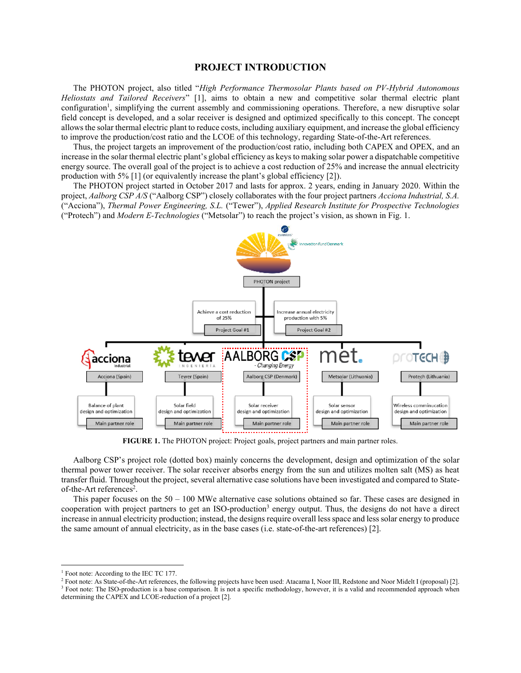#### **PROJECT INTRODUCTION**

The PHOTON project, also titled "*High Performance Thermosolar Plants based on PV-Hybrid Autonomous Heliostats and Tailored Receivers*" [1], aims to obtain a new and competitive solar thermal electric plant configuration<sup>1</sup>, simplifying the current assembly and commissioning operations. Therefore, a new disruptive solar field concept is developed, and a solar receiver is designed and optimized specifically to this concept. The concept allowsthe solar thermal electric plant to reduce costs, including auxiliary equipment, and increase the global efficiency to improve the production/cost ratio and the LCOE of this technology, regarding State-of-the-Art references.

Thus, the project targets an improvement of the production/cost ratio, including both CAPEX and OPEX, and an increase in the solar thermal electric plant's global efficiency as keys to making solar power a dispatchable competitive energy source. The overall goal of the project is to achieve a cost reduction of 25% and increase the annual electricity production with 5% [1] (or equivalently increase the plant's global efficiency [2]).

The PHOTON project started in October 2017 and lasts for approx. 2 years, ending in January 2020. Within the project, *Aalborg CSP A/S* ("Aalborg CSP") closely collaborates with the four project partners *Acciona Industrial, S.A.* ("Acciona"), *Thermal Power Engineering, S.L.* ("Tewer"), *Applied Research Institute for Prospective Technologies* ("Protech") and *Modern E-Technologies* ("Metsolar") to reach the project's vision, as shown in Fig. 1.



**FIGURE 1.** The PHOTON project: Project goals, project partners and main partner roles.

Aalborg CSP's project role (dotted box) mainly concerns the development, design and optimization of the solar thermal power tower receiver. The solar receiver absorbs energy from the sun and utilizes molten salt (MS) as heat transfer fluid. Throughout the project, several alternative case solutions have been investigated and compared to Stateof-the-Art references<sup>2</sup>.

This paper focuses on the 50 – 100 MWe alternative case solutions obtained so far. These cases are designed in cooperation with project partners to get an ISO-production<sup>3</sup> energy output. Thus, the designs do not have a direct increase in annual electricity production; instead, the designs require overall less space and less solar energy to produce the same amount of annual electricity, as in the base cases (i.e. state-of-the-art references) [2].

<sup>&</sup>lt;sup>1</sup> Foot note: According to the IEC TC 177.

<sup>2</sup> Foot note: As State-of-the-Art references, the following projects have been used: Atacama I, Noor III, Redstone and Noor Midelt I (proposal) [2]. <sup>3</sup> Foot note: The ISO-production is a base comparison. It is not a specific methodology, however, it is a valid and recommended approach when

determining the CAPEX and LCOE-reduction of a project [2].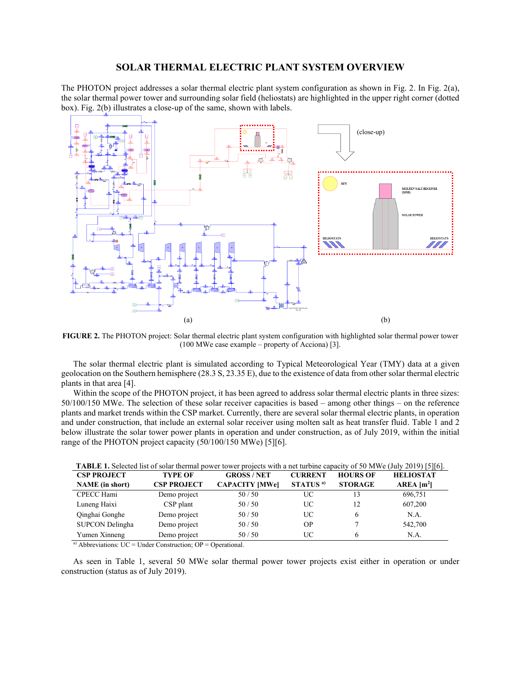#### **SOLAR THERMAL ELECTRIC PLANT SYSTEM OVERVIEW**

The PHOTON project addresses a solar thermal electric plant system configuration as shown in Fig. 2. In Fig. 2(a), the solar thermal power tower and surrounding solar field (heliostats) are highlighted in the upper right corner (dotted box). Fig. 2(b) illustrates a close-up of the same, shown with labels.



**FIGURE 2.** The PHOTON project: Solar thermal electric plant system configuration with highlighted solar thermal power tower (100 MWe case example – property of Acciona) [3].

The solar thermal electric plant is simulated according to Typical Meteorological Year (TMY) data at a given geolocation on the Southern hemisphere (28.3 S, 23.35 E), due to the existence of data from other solar thermal electric plants in that area [4].

Within the scope of the PHOTON project, it has been agreed to address solar thermal electric plants in three sizes: 50/100/150 MWe. The selection of these solar receiver capacities is based – among other things – on the reference plants and market trends within the CSP market. Currently, there are several solar thermal electric plants, in operation and under construction, that include an external solar receiver using molten salt as heat transfer fluid. Table 1 and 2 below illustrate the solar tower power plants in operation and under construction, as of July 2019, within the initial range of the PHOTON project capacity (50/100/150 MWe) [5][6].

| <b>CSP PROJECT</b>     | <b>TYPE OF</b>     | <b>GROSS/NET</b>      | <b>CURRENT</b>       | <b>HOURS OF</b> | $0.50$ $\mu$ $\mu$ $\sigma$ ( $\sigma$ $\mu$ ) $\mu$ $\sigma$ $\sigma$ $\sigma$ $\sigma$ $\sigma$ $\sigma$<br><b>HELIOSTAT</b> |
|------------------------|--------------------|-----------------------|----------------------|-----------------|--------------------------------------------------------------------------------------------------------------------------------|
| <b>NAME</b> (in short) | <b>CSP PROJECT</b> | <b>CAPACITY [MWe]</b> | STATUS <sup>a)</sup> | <b>STORAGE</b>  | $AREA$ [m <sup>2</sup> ]                                                                                                       |
| CPECC Hami             | Demo project       | 50/50                 | UC                   | 13              | 696,751                                                                                                                        |
| Luneng Haixi           | CSP plant          | 50/50                 | UC                   | 12              | 607,200                                                                                                                        |
| Qinghai Gonghe         | Demo project       | 50/50                 | UC                   | 6               | N.A.                                                                                                                           |
| SUPCON Delingha        | Demo project       | 50/50                 | <b>OP</b>            |                 | 542,700                                                                                                                        |
| Yumen Xinneng          | Demo project       | 50/50                 | UC                   | 6               | N.A.                                                                                                                           |

| TABLE 1. Selected list of solar thermal power tower projects with a net turbine capacity of 50 MWe (July 2019) [5][6]. |  |  |  |  |
|------------------------------------------------------------------------------------------------------------------------|--|--|--|--|
|------------------------------------------------------------------------------------------------------------------------|--|--|--|--|

a) Abbreviations:  $UC = Under Construction$ ;  $OP = Operational$ .

As seen in Table 1, several 50 MWe solar thermal power tower projects exist either in operation or under construction (status as of July 2019).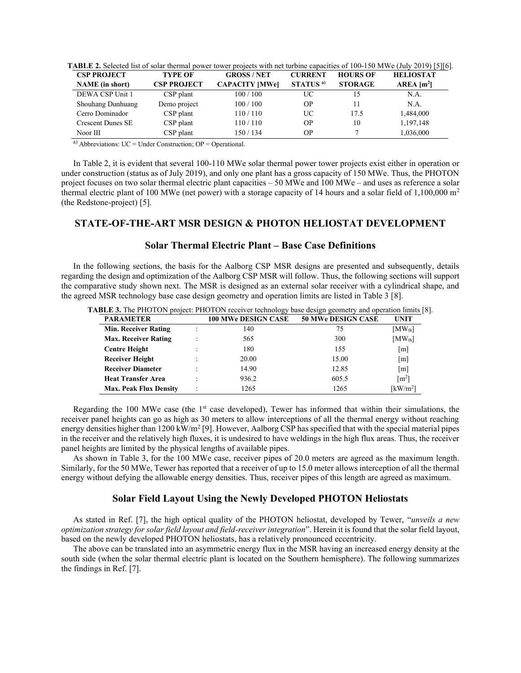| TABLE 2. Selected list of solar thermal power tower projects with net turbine capacities of 100-150 MWe (July 2019) [5][6]. |  |  |  |  |
|-----------------------------------------------------------------------------------------------------------------------------|--|--|--|--|
|-----------------------------------------------------------------------------------------------------------------------------|--|--|--|--|

| <b>CSP PROJECT</b>       | <b>TYPE OF</b>     | <b>GROSS/NET</b>      | <b>CURRENT</b>       | <b>HOURS OF</b> | <b>HELIOSTAT</b>         |
|--------------------------|--------------------|-----------------------|----------------------|-----------------|--------------------------|
| <b>NAME</b> (in short)   | <b>CSP PROJECT</b> | <b>CAPACITY [MWe]</b> | STATUS <sup>a)</sup> | <b>STORAGE</b>  | $AREA$ [m <sup>2</sup> ] |
| DEWA CSP Unit 1          | CSP plant          | 100/100               | UC                   |                 | N.A.                     |
| Shouhang Dunhuang        | Demo project       | 100/100               | OР                   |                 | N.A.                     |
| Cerro Dominador          | CSP plant          | 110 / 110             | UС                   | 17.5            | 1,484,000                |
| <b>Crescent Dunes SE</b> | CSP plant          | 110 / 110             | OР                   | 10              | 1,197,148                |
| Noor III                 | CSP plant          | 150 / 134             | OР                   |                 | 1,036,000                |

a) Abbreviations:  $UC = Under Construction$ ;  $OP = Operational$ .

In Table 2, it is evident that several 100-110 MWe solar thermal power tower projects exist either in operation or under construction (status as of July 2019), and only one plant has a gross capacity of 150 MWe. Thus, the PHOTON project focuses on two solar thermal electric plant capacities – 50 MWe and 100 MWe – and uses as reference a solar thermal electric plant of 100 MWe (net power) with a storage capacity of 14 hours and a solar field of 1,100,000 m<sup>2</sup> (the Redstone-project) [5].

# **STATE-OF-THE-ART MSR DESIGN & PHOTON HELIOSTAT DEVELOPMENT**

### **Solar Thermal Electric Plant – Base Case Definitions**

In the following sections, the basis for the Aalborg CSP MSR designs are presented and subsequently, details regarding the design and optimization of the Aalborg CSP MSR will follow. Thus, the following sections will support the comparative study shown next. The MSR is designed as an external solar receiver with a cylindrical shape, and the agreed MSR technology base case design geometry and operation limits are listed in Table 3 [8].

| <b>PARAMETER</b>              | <b>100 MWe DESIGN CASE</b> | <b>50 MWe DESIGN CASE</b> | <b>UNIT</b>           |
|-------------------------------|----------------------------|---------------------------|-----------------------|
| Min. Receiver Rating          | 140                        | 75                        | $[MW_{th}]$           |
| <b>Max. Receiver Rating</b>   | 565                        | 300                       | $[MW_{th}]$           |
| <b>Centre Height</b>          | 180                        | 155                       | [m]                   |
| <b>Receiver Height</b>        | 20.00                      | 15.00                     | [m]                   |
| <b>Receiver Diameter</b>      | 14.90                      | 12.85                     | $\lceil m \rceil$     |
| <b>Heat Transfer Area</b>     | 936.2                      | 605.5                     | $\lceil m^2 \rceil$   |
| <b>Max. Peak Flux Density</b> | 1265                       | 1265                      | [ $\mathrm{kW/m^2}$ ] |

Regarding the 100 MWe case (the 1<sup>st</sup> case developed), Tewer has informed that within their simulations, the receiver panel heights can go as high as 30 meters to allow interceptions of all the thermal energy without reaching energy densities higher than  $1200 \text{ kW/m}^2$  [9]. However, Aalborg CSP has specified that with the special material pipes in the receiver and the relatively high fluxes, it is undesired to have weldings in the high flux areas. Thus, the receiver panel heights are limited by the physical lengths of available pipes.

As shown in Table 3, for the 100 MWe case, receiver pipes of 20.0 meters are agreed as the maximum length. Similarly, for the 50 MWe, Tewer has reported that a receiver of up to 15.0 meter allows interception of all the thermal energy without defying the allowable energy densities. Thus, receiver pipes of this length are agreed as maximum.

#### **Solar Field Layout Using the Newly Developed PHOTON Heliostats**

As stated in Ref. [7], the high optical quality of the PHOTON heliostat, developed by Tewer, "*unveils a new optimization strategy for solar field layout and field-receiver integration*". Herein it is found that the solar field layout, based on the newly developed PHOTON heliostats, has a relatively pronounced eccentricity.

The above can be translated into an asymmetric energy flux in the MSR having an increased energy density at the south side (when the solar thermal electric plant is located on the Southern hemisphere). The following summarizes the findings in Ref. [7].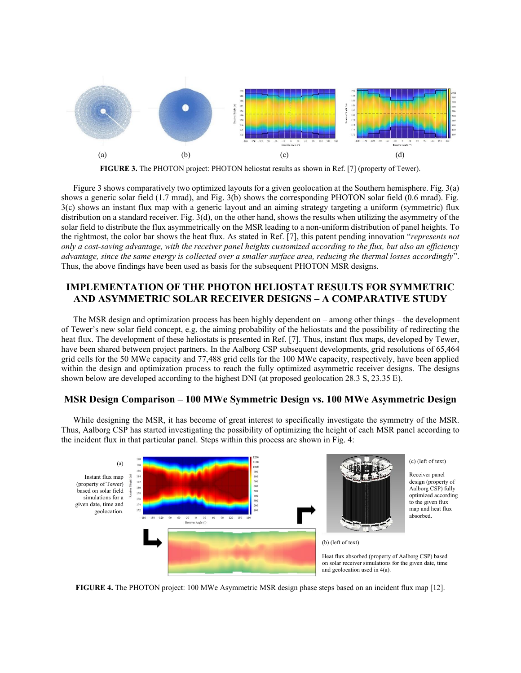

**FIGURE 3.** The PHOTON project: PHOTON heliostat results as shown in Ref. [7] (property of Tewer).

Figure 3 shows comparatively two optimized layouts for a given geolocation at the Southern hemisphere. Fig. 3(a) shows a generic solar field (1.7 mrad), and Fig. 3(b) shows the corresponding PHOTON solar field (0.6 mrad). Fig. 3(c) shows an instant flux map with a generic layout and an aiming strategy targeting a uniform (symmetric) flux distribution on a standard receiver. Fig. 3(d), on the other hand, shows the results when utilizing the asymmetry of the solar field to distribute the flux asymmetrically on the MSR leading to a non-uniform distribution of panel heights. To the rightmost, the color bar shows the heat flux. As stated in Ref. [7], this patent pending innovation "*represents not only a cost-saving advantage, with the receiver panel heights customized according to the flux, but also an efficiency advantage, since the same energy is collected over a smaller surface area, reducing the thermal losses accordingly*". Thus, the above findings have been used as basis for the subsequent PHOTON MSR designs.

# **IMPLEMENTATION OF THE PHOTON HELIOSTAT RESULTS FOR SYMMETRIC AND ASYMMETRIC SOLAR RECEIVER DESIGNS – A COMPARATIVE STUDY**

The MSR design and optimization process has been highly dependent on – among other things – the development of Tewer's new solar field concept, e.g. the aiming probability of the heliostats and the possibility of redirecting the heat flux. The development of these heliostats is presented in Ref. [7]. Thus, instant flux maps, developed by Tewer, have been shared between project partners. In the Aalborg CSP subsequent developments, grid resolutions of 65,464 grid cells for the 50 MWe capacity and 77,488 grid cells for the 100 MWe capacity, respectively, have been applied within the design and optimization process to reach the fully optimized asymmetric receiver designs. The designs shown below are developed according to the highest DNI (at proposed geolocation 28.3 S, 23.35 E).

# **MSR Design Comparison – 100 MWe Symmetric Design vs. 100 MWe Asymmetric Design**

While designing the MSR, it has become of great interest to specifically investigate the symmetry of the MSR. Thus, Aalborg CSP has started investigating the possibility of optimizing the height of each MSR panel according to the incident flux in that particular panel. Steps within this process are shown in Fig. 4:



**FIGURE 4.** The PHOTON project: 100 MWe Asymmetric MSR design phase steps based on an incident flux map [12].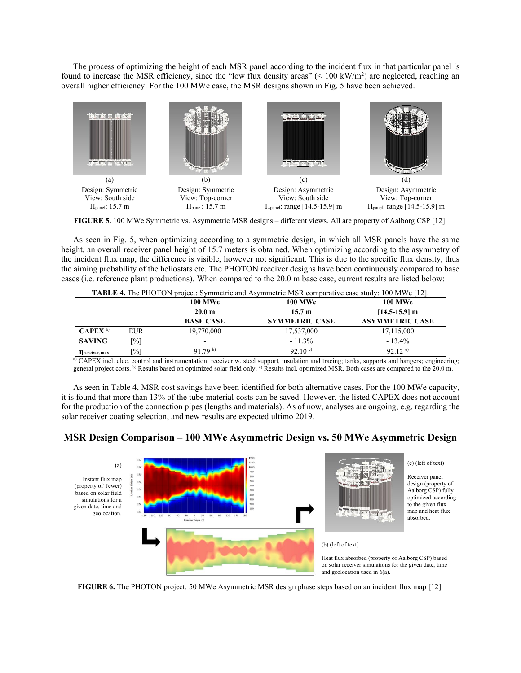The process of optimizing the height of each MSR panel according to the incident flux in that particular panel is found to increase the MSR efficiency, since the "low flux density areas"  $(< 100 \text{ kW/m}^2)$  are neglected, reaching an overall higher efficiency. For the 100 MWe case, the MSR designs shown in Fig. 5 have been achieved.



**FIGURE 5.** 100 MWe Symmetric vs. Asymmetric MSR designs – different views. All are property of Aalborg CSP [12].

As seen in Fig. 5, when optimizing according to a symmetric design, in which all MSR panels have the same height, an overall receiver panel height of 15.7 meters is obtained. When optimizing according to the asymmetry of the incident flux map, the difference is visible, however not significant. This is due to the specific flux density, thus the aiming probability of the heliostats etc. The PHOTON receiver designs have been continuously compared to base cases (i.e. reference plant productions). When compared to the 20.0 m base case, current results are listed below:

| <b>TABLE 4.</b> The PHOTON project: Symmetric and Asymmetric MSR comparative case study: 100 MWe [12]. |            |                   |                       |                        |  |  |  |
|--------------------------------------------------------------------------------------------------------|------------|-------------------|-----------------------|------------------------|--|--|--|
|                                                                                                        |            | <b>100 MWe</b>    | <b>100 MWe</b>        | <b>100 MWe</b>         |  |  |  |
|                                                                                                        |            | 20.0 <sub>m</sub> | 15.7 m                | $[14.5-15.9]$ m        |  |  |  |
|                                                                                                        |            | <b>BASE CASE</b>  | <b>SYMMETRIC CASE</b> | <b>ASYMMETRIC CASE</b> |  |  |  |
| $CAPEX^{a}$                                                                                            | <b>EUR</b> | 19,770,000        | 17,537,000            | 17,115,000             |  |  |  |
| <b>SAVING</b>                                                                                          | [%]        |                   | $-11.3%$              | $-13.4\%$              |  |  |  |
| <b>n</b> receiver, max                                                                                 | [%]        | 91 79 $b$         | 92.10 $^{\circ}$      | $92.12$ <sup>c)</sup>  |  |  |  |

a) CAPEX incl. elec. control and instrumentation; receiver w. steel support, insulation and tracing; tanks, supports and hangers; engineering; general project costs. b) Results based on optimized solar field only. c) Results incl. optimized MSR. Both cases are compared to the 20.0 m.

As seen in Table 4, MSR cost savings have been identified for both alternative cases. For the 100 MWe capacity, it is found that more than 13% of the tube material costs can be saved. However, the listed CAPEX does not account for the production of the connection pipes (lengths and materials). As of now, analyses are ongoing, e.g. regarding the solar receiver coating selection, and new results are expected ultimo 2019.

## **MSR Design Comparison – 100 MWe Asymmetric Design vs. 50 MWe Asymmetric Design**



**FIGURE 6.** The PHOTON project: 50 MWe Asymmetric MSR design phase steps based on an incident flux map [12].

(c) (left of text)

Receiver panel design (property of Aalborg CSP) fully optimized according to the given flux map and heat flux absorbed.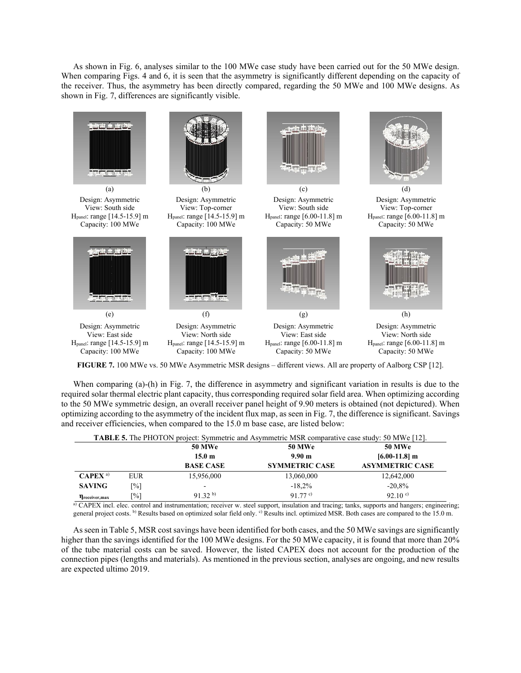As shown in Fig. 6, analyses similar to the 100 MWe case study have been carried out for the 50 MWe design. When comparing Figs. 4 and 6, it is seen that the asymmetry is significantly different depending on the capacity of the receiver. Thus, the asymmetry has been directly compared, regarding the 50 MWe and 100 MWe designs. As shown in Fig. 7, differences are significantly visible.



**FIGURE 7.** 100 MWe vs. 50 MWe Asymmetric MSR designs – different views. All are property of Aalborg CSP [12].

When comparing (a)-(h) in Fig. 7, the difference in asymmetry and significant variation in results is due to the required solar thermal electric plant capacity, thus corresponding required solar field area. When optimizing according to the 50 MWe symmetric design, an overall receiver panel height of 9.90 meters is obtained (not depictured). When optimizing according to the asymmetry of the incident flux map, as seen in Fig. 7, the difference is significant. Savings and receiver efficiencies, when compared to the 15.0 m base case, are listed below:

| <b>TABLE 5.</b> The PHOTON project: Symmetric and Asymmetric MSR comparative case study: 50 MWe [12]. |            |                   |                       |                        |  |  |  |  |
|-------------------------------------------------------------------------------------------------------|------------|-------------------|-----------------------|------------------------|--|--|--|--|
|                                                                                                       |            | <b>50 MWe</b>     | <b>50 MWe</b>         | <b>50 MWe</b>          |  |  |  |  |
|                                                                                                       |            | 15.0 <sub>m</sub> | 9.90 <sub>m</sub>     | $[6.00-11.8]$ m        |  |  |  |  |
|                                                                                                       |            | <b>BASE CASE</b>  | <b>SYMMETRIC CASE</b> | <b>ASYMMETRIC CASE</b> |  |  |  |  |
| $CAPEX^{a}$                                                                                           | <b>EUR</b> | 15,956,000        | 13,060,000            | 12,642,000             |  |  |  |  |
| <b>SAVING</b>                                                                                         | [%]        | -                 | $-18.2%$              | $-20.8%$               |  |  |  |  |
| <b>T</b> receiver, max                                                                                | [%]        | $91.32^{b}$       | 91 77 c)              | 92.10 $^{\circ}$       |  |  |  |  |

a) CAPEX incl. elec. control and instrumentation; receiver w. steel support, insulation and tracing; tanks, supports and hangers; engineering; general project costs. b) Results based on optimized solar field only. c) Results incl. optimized MSR. Both cases are compared to the 15.0 m.

As seen in Table 5, MSR cost savings have been identified for both cases, and the 50 MWe savings are significantly higher than the savings identified for the 100 MWe designs. For the 50 MWe capacity, it is found that more than 20% of the tube material costs can be saved. However, the listed CAPEX does not account for the production of the connection pipes (lengths and materials). As mentioned in the previous section, analyses are ongoing, and new results are expected ultimo 2019.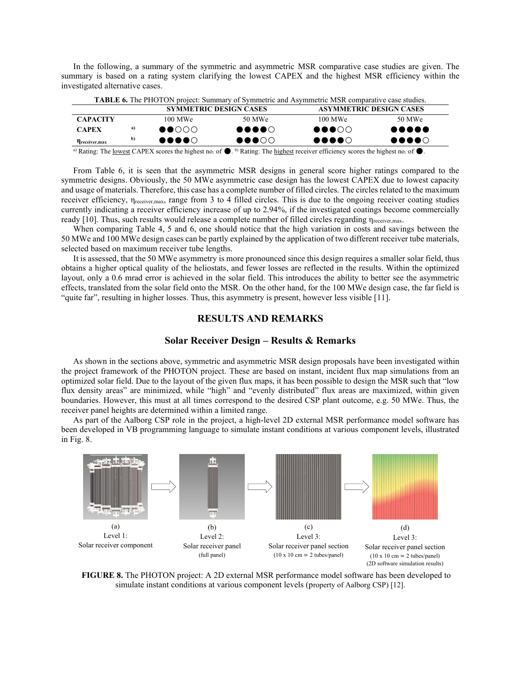|                                                                                                           |  |  |  | In the following, a summary of the symmetric and asymmetric MSR comparative case studies are given. The |  |  |  |  |  |  |
|-----------------------------------------------------------------------------------------------------------|--|--|--|---------------------------------------------------------------------------------------------------------|--|--|--|--|--|--|
| summary is based on a rating system clarifying the lowest CAPEX and the highest MSR efficiency within the |  |  |  |                                                                                                         |  |  |  |  |  |  |
| investigated alternative cases.                                                                           |  |  |  |                                                                                                         |  |  |  |  |  |  |

|                 |    | <b>SYMMETRIC DESIGN CASES</b>       | <b>ASYMMETRIC DESIGN CASES</b>    |                                   |                                       |  |  |
|-----------------|----|-------------------------------------|-----------------------------------|-----------------------------------|---------------------------------------|--|--|
| <b>CAPACITY</b> |    | $100$ MWe                           | 50 MWe                            | $100$ MWe                         | 50 MWe                                |  |  |
| <b>CAPEX</b>    | a) | $\bullet \bullet \circ \circ \circ$ | $\bullet\bullet\bullet\bullet$    | $\bullet\bullet\bullet\circ\circ$ | $\bullet\bullet\bullet\bullet\bullet$ |  |  |
| Treceiver, max  | b) | $\bullet\bullet\bullet\circ$        | $\bullet\bullet\bullet\circ\circ$ | $\bullet\bullet\bullet\circ$      | $\bullet\bullet\bullet\bullet\circ$   |  |  |

a) Rating: The <u>lowest</u> CAPEX scores the highest no. of  $\bullet$ . <sup>b</sup>) Rating: The <u>highest</u> receiver efficiency scores the highest no. of  $\bullet$ .

From Table 6, it is seen that the asymmetric MSR designs in general score higher ratings compared to the symmetric designs. Obviously, the 50 MWe asymmetric case design has the lowest CAPEX due to lowest capacity and usage of materials. Therefore, this case has a complete number of filled circles. The circles related to the maximum receiver efficiency, ηreceiver,max, range from 3 to 4 filled circles. This is due to the ongoing receiver coating studies currently indicating a receiver efficiency increase of up to 2.94%, if the investigated coatings become commercially ready [10]. Thus, such results would release a complete number of filled circles regarding  $\eta_{recciver,max}$ .

When comparing Table 4, 5 and 6, one should notice that the high variation in costs and savings between the 50 MWe and 100 MWe design cases can be partly explained by the application of two different receiver tube materials, selected based on maximum receiver tube lengths.

It is assessed, that the 50 MWe asymmetry is more pronounced since this design requires a smaller solar field, thus obtains a higher optical quality of the heliostats, and fewer losses are reflected in the results. Within the optimized layout, only a 0.6 mrad error is achieved in the solar field. This introduces the ability to better see the asymmetric effects, translated from the solar field onto the MSR. On the other hand, for the 100 MWe design case, the far field is "quite far", resulting in higher losses. Thus, this asymmetry is present, however less visible [11].

## **RESULTS AND REMARKS**

#### **Solar Receiver Design – Results & Remarks**

As shown in the sections above, symmetric and asymmetric MSR design proposals have been investigated within the project framework of the PHOTON project. These are based on instant, incident flux map simulations from an optimized solar field. Due to the layout of the given flux maps, it has been possible to design the MSR such that "low flux density areas" are minimized, while "high" and "evenly distributed" flux areas are maximized, within given boundaries. However, this must at all times correspond to the desired CSP plant outcome, e.g. 50 MWe. Thus, the receiver panel heights are determined within a limited range.

As part of the Aalborg CSP role in the project, a high-level 2D external MSR performance model software has been developed in VB programming language to simulate instant conditions at various component levels, illustrated in Fig. 8.



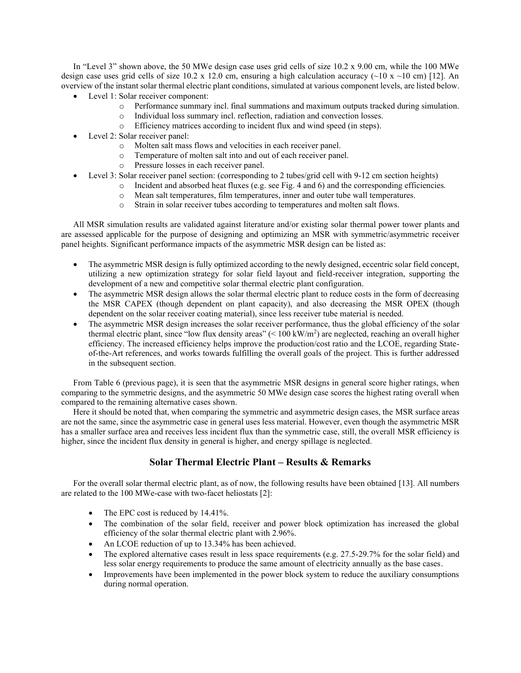In "Level 3" shown above, the 50 MWe design case uses grid cells of size 10.2 x 9.00 cm, while the 100 MWe design case uses grid cells of size 10.2 x 12.0 cm, ensuring a high calculation accuracy (~10 x ~10 cm) [12]. An overview of the instant solar thermal electric plant conditions, simulated at various component levels, are listed below.

- Level 1: Solar receiver component:
	- o Performance summary incl. final summations and maximum outputs tracked during simulation.
	- o Individual loss summary incl. reflection, radiation and convection losses.
	- o Efficiency matrices according to incident flux and wind speed (in steps).
- Level 2: Solar receiver panel:
	- o Molten salt mass flows and velocities in each receiver panel.
	- o Temperature of molten salt into and out of each receiver panel.
	- o Pressure losses in each receiver panel.
- Level 3: Solar receiver panel section: (corresponding to 2 tubes/grid cell with 9-12 cm section heights)
	- $\circ$  Incident and absorbed heat fluxes (e.g. see Fig. 4 and 6) and the corresponding efficiencies.
	- o Mean salt temperatures, film temperatures, inner and outer tube wall temperatures.
	- o Strain in solar receiver tubes according to temperatures and molten salt flows.

All MSR simulation results are validated against literature and/or existing solar thermal power tower plants and are assessed applicable for the purpose of designing and optimizing an MSR with symmetric/asymmetric receiver panel heights. Significant performance impacts of the asymmetric MSR design can be listed as:

- The asymmetric MSR design is fully optimized according to the newly designed, eccentric solar field concept, utilizing a new optimization strategy for solar field layout and field-receiver integration, supporting the development of a new and competitive solar thermal electric plant configuration.
- The asymmetric MSR design allows the solar thermal electric plant to reduce costs in the form of decreasing the MSR CAPEX (though dependent on plant capacity), and also decreasing the MSR OPEX (though dependent on the solar receiver coating material), since less receiver tube material is needed.
- The asymmetric MSR design increases the solar receiver performance, thus the global efficiency of the solar thermal electric plant, since "low flux density areas"  $(< 100 \text{ kW/m}^2$ ) are neglected, reaching an overall higher efficiency. The increased efficiency helps improve the production/cost ratio and the LCOE, regarding Stateof-the-Art references, and works towards fulfilling the overall goals of the project. This is further addressed in the subsequent section.

From Table 6 (previous page), it is seen that the asymmetric MSR designs in general score higher ratings, when comparing to the symmetric designs, and the asymmetric 50 MWe design case scores the highest rating overall when compared to the remaining alternative cases shown.

Here it should be noted that, when comparing the symmetric and asymmetric design cases, the MSR surface areas are not the same, since the asymmetric case in general uses less material. However, even though the asymmetric MSR has a smaller surface area and receives less incident flux than the symmetric case, still, the overall MSR efficiency is higher, since the incident flux density in general is higher, and energy spillage is neglected.

## **Solar Thermal Electric Plant – Results & Remarks**

For the overall solar thermal electric plant, as of now, the following results have been obtained [13]. All numbers are related to the 100 MWe-case with two-facet heliostats [2]:

- The EPC cost is reduced by 14.41%.
- The combination of the solar field, receiver and power block optimization has increased the global efficiency of the solar thermal electric plant with 2.96%.
- An LCOE reduction of up to 13.34% has been achieved.
- The explored alternative cases result in less space requirements (e.g. 27.5-29.7% for the solar field) and less solar energy requirements to produce the same amount of electricity annually as the base cases.
- Improvements have been implemented in the power block system to reduce the auxiliary consumptions during normal operation.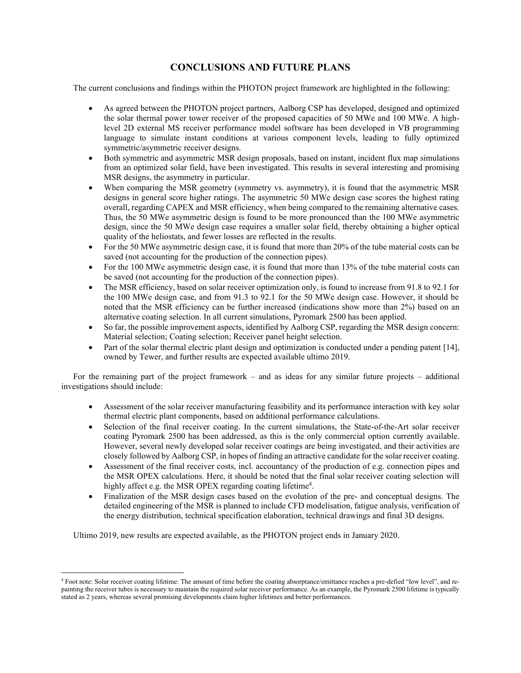# **CONCLUSIONS AND FUTURE PLANS**

The current conclusions and findings within the PHOTON project framework are highlighted in the following:

- As agreed between the PHOTON project partners, Aalborg CSP has developed, designed and optimized the solar thermal power tower receiver of the proposed capacities of 50 MWe and 100 MWe. A highlevel 2D external MS receiver performance model software has been developed in VB programming language to simulate instant conditions at various component levels, leading to fully optimized symmetric/asymmetric receiver designs.
- Both symmetric and asymmetric MSR design proposals, based on instant, incident flux map simulations from an optimized solar field, have been investigated. This results in several interesting and promising MSR designs, the asymmetry in particular.
- When comparing the MSR geometry (symmetry vs. asymmetry), it is found that the asymmetric MSR designs in general score higher ratings. The asymmetric 50 MWe design case scores the highest rating overall, regarding CAPEX and MSR efficiency, when being compared to the remaining alternative cases. Thus, the 50 MWe asymmetric design is found to be more pronounced than the 100 MWe asymmetric design, since the 50 MWe design case requires a smaller solar field, thereby obtaining a higher optical quality of the heliostats, and fewer losses are reflected in the results.
- For the 50 MWe asymmetric design case, it is found that more than 20% of the tube material costs can be saved (not accounting for the production of the connection pipes).
- For the 100 MWe asymmetric design case, it is found that more than 13% of the tube material costs can be saved (not accounting for the production of the connection pipes).
- The MSR efficiency, based on solar receiver optimization only, is found to increase from 91.8 to 92.1 for the 100 MWe design case, and from 91.3 to 92.1 for the 50 MWe design case. However, it should be noted that the MSR efficiency can be further increased (indications show more than 2%) based on an alternative coating selection. In all current simulations, Pyromark 2500 has been applied.
- So far, the possible improvement aspects, identified by Aalborg CSP, regarding the MSR design concern: Material selection; Coating selection; Receiver panel height selection.
- Part of the solar thermal electric plant design and optimization is conducted under a pending patent [14], owned by Tewer, and further results are expected available ultimo 2019.

For the remaining part of the project framework – and as ideas for any similar future projects – additional investigations should include:

- Assessment of the solar receiver manufacturing feasibility and its performance interaction with key solar thermal electric plant components, based on additional performance calculations.
- Selection of the final receiver coating. In the current simulations, the State-of-the-Art solar receiver coating Pyromark 2500 has been addressed, as this is the only commercial option currently available. However, several newly developed solar receiver coatings are being investigated, and their activities are closely followed by Aalborg CSP, in hopes of finding an attractive candidate for the solar receiver coating.
- Assessment of the final receiver costs, incl. accountancy of the production of e.g. connection pipes and the MSR OPEX calculations. Here, it should be noted that the final solar receiver coating selection will highly affect e.g. the MSR OPEX regarding coating lifetime<sup>4</sup>.
- Finalization of the MSR design cases based on the evolution of the pre- and conceptual designs. The detailed engineering of the MSR is planned to include CFD modelisation, fatigue analysis, verification of the energy distribution, technical specification elaboration, technical drawings and final 3D designs.

Ultimo 2019, new results are expected available, as the PHOTON project ends in January 2020.

<sup>4</sup> Foot note: Solar receiver coating lifetime: The amount of time before the coating absorptance/emittance reaches a pre-defied "low level", and repainting the receiver tubes is necessary to maintain the required solar receiver performance. As an example, the Pyromark 2500 lifetime is typically stated as 2 years, whereas several promising developments claim higher lifetimes and better performances.